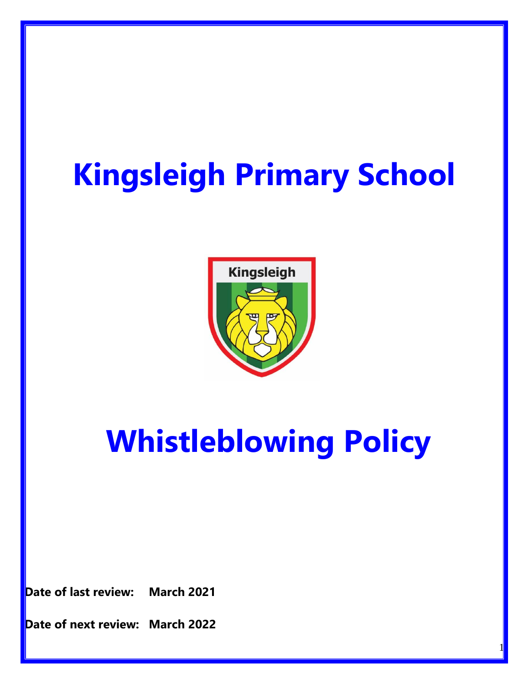# **Kingsleigh Primary School**



## **Whistleblowing Policy**

1

**Date of last review: March 2021**

**Date of next review: March 2022**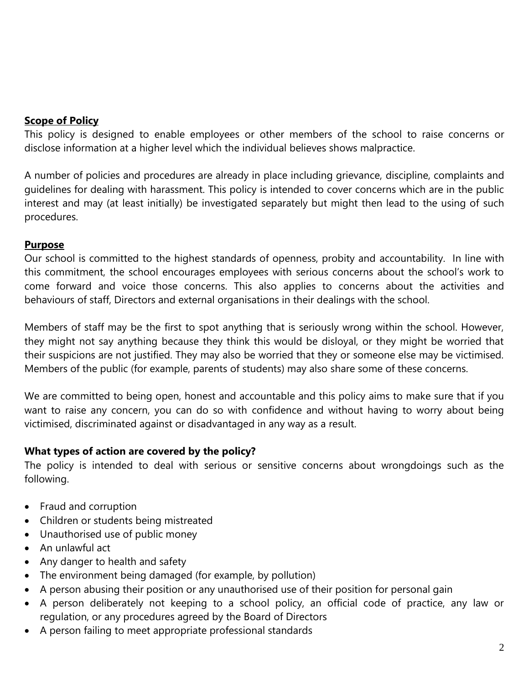## **Scope of Policy**

This policy is designed to enable employees or other members of the school to raise concerns or disclose information at a higher level which the individual believes shows malpractice.

A number of policies and procedures are already in place including grievance, discipline, complaints and guidelines for dealing with harassment. This policy is intended to cover concerns which are in the public interest and may (at least initially) be investigated separately but might then lead to the using of such procedures.

## **Purpose**

Our school is committed to the highest standards of openness, probity and accountability. In line with this commitment, the school encourages employees with serious concerns about the school's work to come forward and voice those concerns. This also applies to concerns about the activities and behaviours of staff, Directors and external organisations in their dealings with the school.

Members of staff may be the first to spot anything that is seriously wrong within the school. However, they might not say anything because they think this would be disloyal, or they might be worried that their suspicions are not justified. They may also be worried that they or someone else may be victimised. Members of the public (for example, parents of students) may also share some of these concerns.

We are committed to being open, honest and accountable and this policy aims to make sure that if you want to raise any concern, you can do so with confidence and without having to worry about being victimised, discriminated against or disadvantaged in any way as a result.

## **What types of action are covered by the policy?**

The policy is intended to deal with serious or sensitive concerns about wrongdoings such as the following.

- Fraud and corruption
- Children or students being mistreated
- Unauthorised use of public money
- An unlawful act
- Any danger to health and safety
- The environment being damaged (for example, by pollution)
- A person abusing their position or any unauthorised use of their position for personal gain
- A person deliberately not keeping to a school policy, an official code of practice, any law or regulation, or any procedures agreed by the Board of Directors
- A person failing to meet appropriate professional standards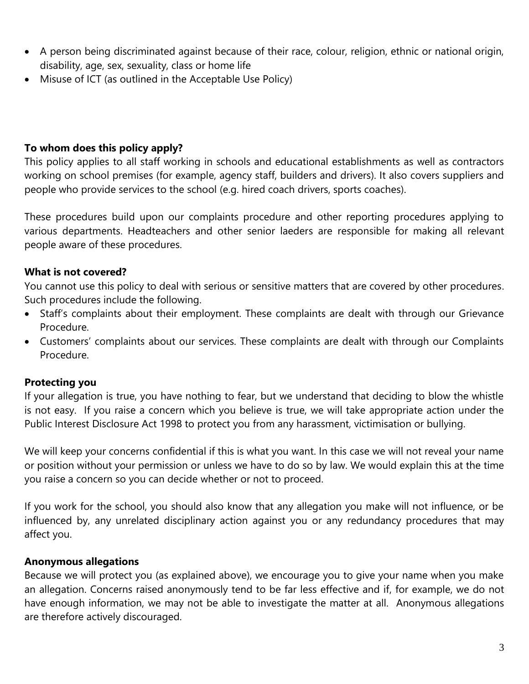- A person being discriminated against because of their race, colour, religion, ethnic or national origin, disability, age, sex, sexuality, class or home life
- Misuse of ICT (as outlined in the Acceptable Use Policy)

## **To whom does this policy apply?**

This policy applies to all staff working in schools and educational establishments as well as contractors working on school premises (for example, agency staff, builders and drivers). It also covers suppliers and people who provide services to the school (e.g. hired coach drivers, sports coaches).

These procedures build upon our complaints procedure and other reporting procedures applying to various departments. Headteachers and other senior laeders are responsible for making all relevant people aware of these procedures.

## **What is not covered?**

You cannot use this policy to deal with serious or sensitive matters that are covered by other procedures. Such procedures include the following.

- Staff's complaints about their employment. These complaints are dealt with through our Grievance Procedure.
- Customers' complaints about our services. These complaints are dealt with through our Complaints Procedure.

## **Protecting you**

If your allegation is true, you have nothing to fear, but we understand that deciding to blow the whistle is not easy. If you raise a concern which you believe is true, we will take appropriate action under the Public Interest Disclosure Act 1998 to protect you from any harassment, victimisation or bullying.

We will keep your concerns confidential if this is what you want. In this case we will not reveal your name or position without your permission or unless we have to do so by law. We would explain this at the time you raise a concern so you can decide whether or not to proceed.

If you work for the school, you should also know that any allegation you make will not influence, or be influenced by, any unrelated disciplinary action against you or any redundancy procedures that may affect you.

## **Anonymous allegations**

Because we will protect you (as explained above), we encourage you to give your name when you make an allegation. Concerns raised anonymously tend to be far less effective and if, for example, we do not have enough information, we may not be able to investigate the matter at all. Anonymous allegations are therefore actively discouraged.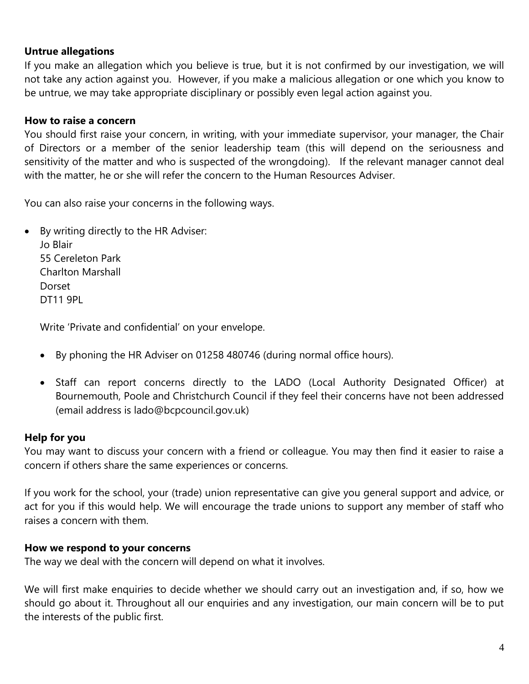## **Untrue allegations**

If you make an allegation which you believe is true, but it is not confirmed by our investigation, we will not take any action against you. However, if you make a malicious allegation or one which you know to be untrue, we may take appropriate disciplinary or possibly even legal action against you.

## **How to raise a concern**

You should first raise your concern, in writing, with your immediate supervisor, your manager, the Chair of Directors or a member of the senior leadership team (this will depend on the seriousness and sensitivity of the matter and who is suspected of the wrongdoing). If the relevant manager cannot deal with the matter, he or she will refer the concern to the Human Resources Adviser.

You can also raise your concerns in the following ways.

 By writing directly to the HR Adviser: Jo Blair 55 Cereleton Park Charlton Marshall

Dorset DT11 9PL

Write 'Private and confidential' on your envelope.

- By phoning the HR Adviser on 01258 480746 (during normal office hours).
- Staff can report concerns directly to the LADO (Local Authority Designated Officer) at Bournemouth, Poole and Christchurch Council if they feel their concerns have not been addressed (email address is lado@bcpcouncil.gov.uk)

## **Help for you**

You may want to discuss your concern with a friend or colleague. You may then find it easier to raise a concern if others share the same experiences or concerns.

If you work for the school, your (trade) union representative can give you general support and advice, or act for you if this would help. We will encourage the trade unions to support any member of staff who raises a concern with them.

## **How we respond to your concerns**

The way we deal with the concern will depend on what it involves.

We will first make enquiries to decide whether we should carry out an investigation and, if so, how we should go about it. Throughout all our enquiries and any investigation, our main concern will be to put the interests of the public first.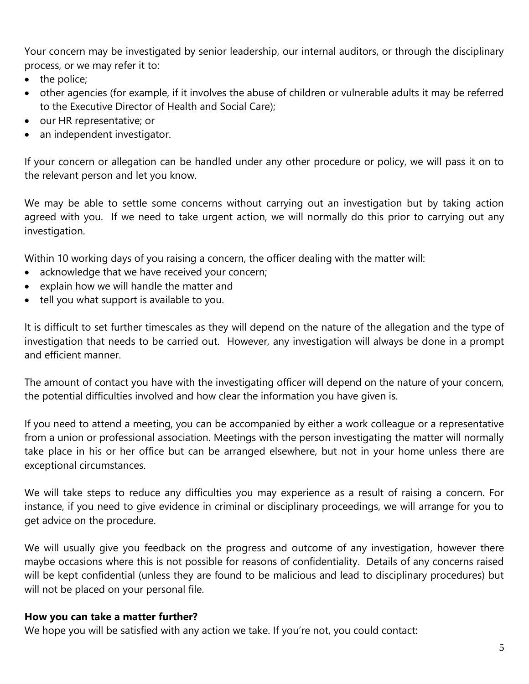Your concern may be investigated by senior leadership, our internal auditors, or through the disciplinary process, or we may refer it to:

- the police;
- other agencies (for example, if it involves the abuse of children or vulnerable adults it may be referred to the Executive Director of Health and Social Care);
- our HR representative; or
- an independent investigator.

If your concern or allegation can be handled under any other procedure or policy, we will pass it on to the relevant person and let you know.

We may be able to settle some concerns without carrying out an investigation but by taking action agreed with you. If we need to take urgent action, we will normally do this prior to carrying out any investigation.

Within 10 working days of you raising a concern, the officer dealing with the matter will:

- acknowledge that we have received your concern;
- explain how we will handle the matter and
- tell you what support is available to you.

It is difficult to set further timescales as they will depend on the nature of the allegation and the type of investigation that needs to be carried out. However, any investigation will always be done in a prompt and efficient manner.

The amount of contact you have with the investigating officer will depend on the nature of your concern, the potential difficulties involved and how clear the information you have given is.

If you need to attend a meeting, you can be accompanied by either a work colleague or a representative from a union or professional association. Meetings with the person investigating the matter will normally take place in his or her office but can be arranged elsewhere, but not in your home unless there are exceptional circumstances.

We will take steps to reduce any difficulties you may experience as a result of raising a concern. For instance, if you need to give evidence in criminal or disciplinary proceedings, we will arrange for you to get advice on the procedure.

We will usually give you feedback on the progress and outcome of any investigation, however there maybe occasions where this is not possible for reasons of confidentiality. Details of any concerns raised will be kept confidential (unless they are found to be malicious and lead to disciplinary procedures) but will not be placed on your personal file.

## **How you can take a matter further?**

We hope you will be satisfied with any action we take. If you're not, you could contact: